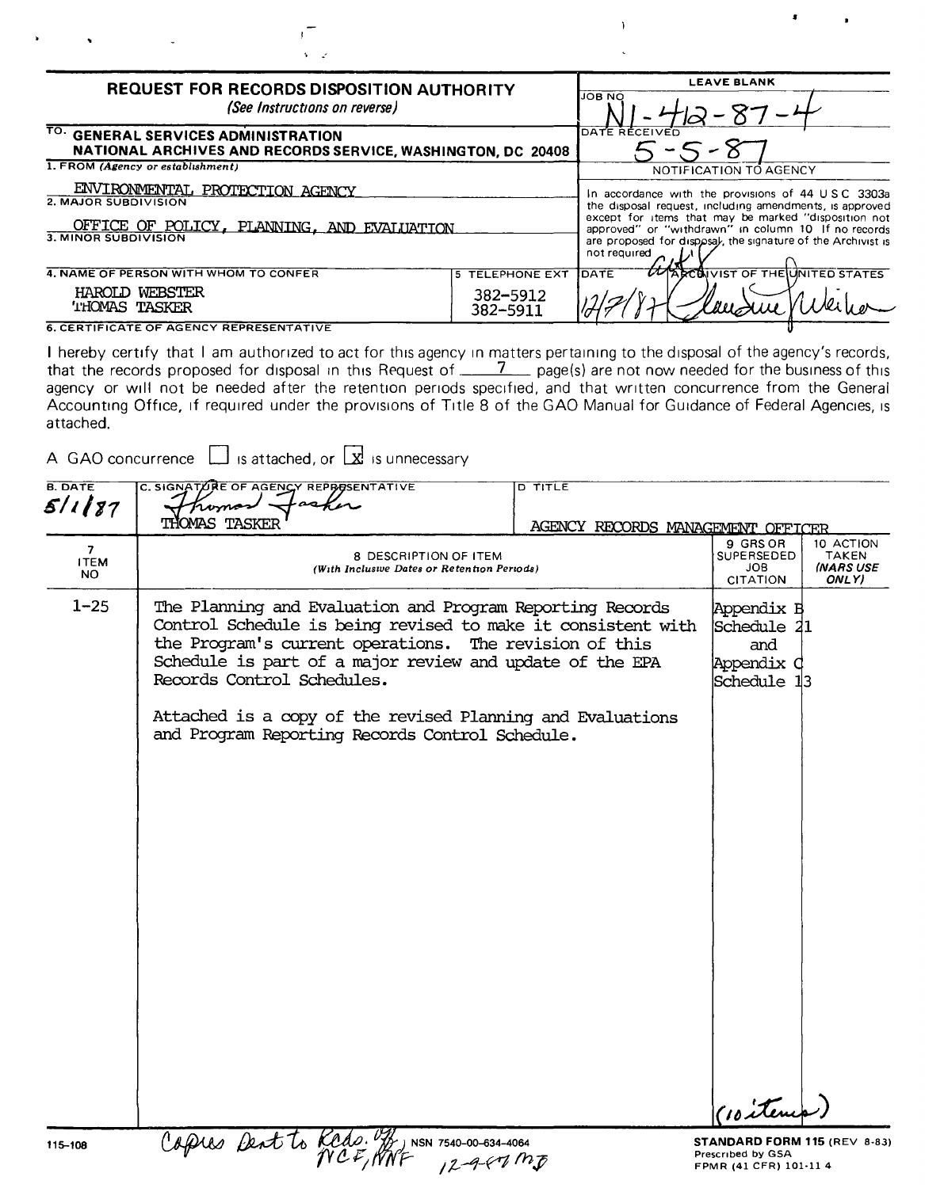| <b>REQUEST FOR RECORDS DISPOSITION AUTHORITY</b><br>(See Instructions on reverse)                                             |                                         | <b>LEAVE BLANK</b><br><b>JOB NO</b>                                                                                                                                                                                                                                                                         |
|-------------------------------------------------------------------------------------------------------------------------------|-----------------------------------------|-------------------------------------------------------------------------------------------------------------------------------------------------------------------------------------------------------------------------------------------------------------------------------------------------------------|
| TO. GENERAL SERVICES ADMINISTRATION<br>NATIONAL ARCHIVES AND RECORDS SERVICE, WASHINGTON, DC 20408                            |                                         | DATE RECEIVED                                                                                                                                                                                                                                                                                               |
| 1. FROM (Agency or establishment)                                                                                             |                                         | NOTIFICATION TO AGENCY                                                                                                                                                                                                                                                                                      |
| ENVIRONMENTAL PROTECTION AGENCY<br>2. MAJOR SUBDIVISION<br>OFFICE OF POLICY, PLANNING, AND EVALUATION<br>3. MINOR SUBDIVISION |                                         | In accordance with the provisions of 44 USC 3303a<br>the disposal request, including amendments, is approved<br>except for items that may be marked "disposition not<br>approved" or "withdrawn" in column 10 If no records<br>are proposed for disposal, the signature of the Archivist is<br>not required |
| 4. NAME OF PERSON WITH WHOM TO CONFER<br>HAROLD WEBSTER<br><b>THOMAS TASKER</b>                                               | 5 TELEPHONE EXT<br>382-5912<br>382-5911 | <b><i>UMARCOIVIST OF THE UNITED STATES</i></b><br><b>IDATE</b><br>und                                                                                                                                                                                                                                       |

 $\mathbf{I}$ 

**6. CERTIFICATE OF AGENCY REPRESENTATIVE** 

I hereby certify that I am authorized to act for this agency in matters pertaining to the disposal of the agency's records, that the records proposed for disposal in this Request of  $\frac{7}{2}$  page(s) are not now needed for the business of this agency or will not be needed after the retention periods specified, and that written concurrence from the General Accounting Office, if required under the provisions of Title 8 of the GAO Manual for Guidance of Federal Agencies, is attached.

A GAO concurrence  $\Box$  is attached, or  $\Box$  is unnecessary

| <b>B. DATE</b>          | C. SIGNAT/URE OF AGENCY REPRESENTATIVE                                                                                                                                                                                                                                                                                                                                                         | <b>D</b> TITLE                    |                                                                             |                                                        |
|-------------------------|------------------------------------------------------------------------------------------------------------------------------------------------------------------------------------------------------------------------------------------------------------------------------------------------------------------------------------------------------------------------------------------------|-----------------------------------|-----------------------------------------------------------------------------|--------------------------------------------------------|
| 5/1/87                  | <b>THOMAS TASKER</b>                                                                                                                                                                                                                                                                                                                                                                           | AGENCY RECORDS MANAGEMENT OFFICER |                                                                             |                                                        |
| 7<br><b>ITEM</b><br>NO. | 8 DESCRIPTION OF ITEM<br>(With Inclusive Dates or Retention Periods)                                                                                                                                                                                                                                                                                                                           |                                   | 9 GRS OR<br><b>SUPERSEDED</b><br>JOB<br><b>CITATION</b>                     | 10 ACTION<br><b>TAKEN</b><br><b>INARS USE</b><br>ONLY) |
| $1 - 25$                | The Planning and Evaluation and Program Reporting Records<br>Control Schedule is being revised to make it consistent with<br>the Program's current operations. The revision of this<br>Schedule is part of a major review and update of the EPA<br>Records Control Schedules.<br>Attached is a copy of the revised Planning and Evaluations<br>and Program Reporting Records Control Schedule. |                                   | Appendix B<br>Schedule 21<br>and<br>Appendix C<br>Schedule 13<br>(10 items  |                                                        |
| 115-108                 | Capies Dent to Keds. 4,<br>) NSN 7540-00-634-4064<br>$12 - 9 - 67 - 105$                                                                                                                                                                                                                                                                                                                       |                                   | STANDARD FORM 115 (REV 8-83)<br>Prescribed by GSA<br>FPMR (41 CFR) 101-11 4 |                                                        |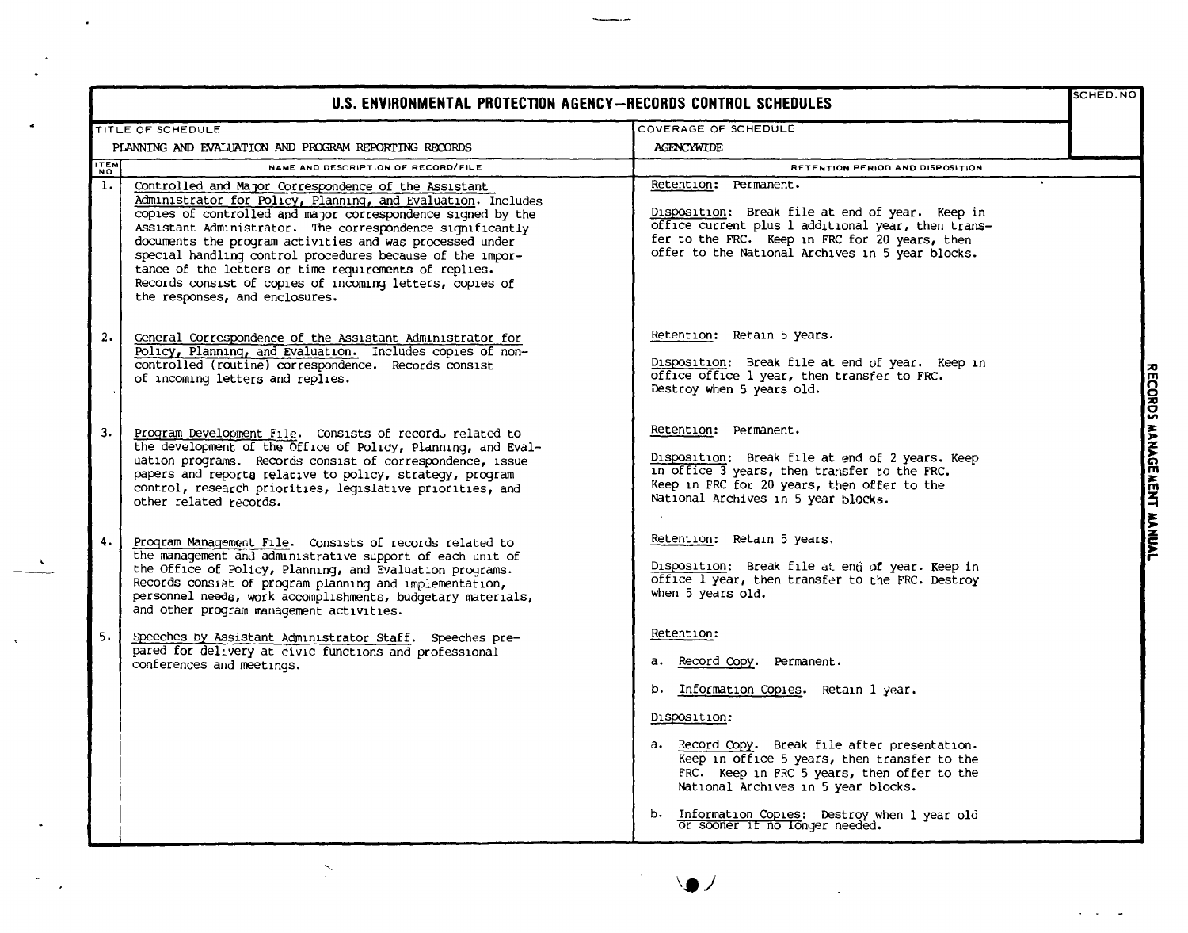| U.S. ENVIRONMENTAL PROTECTION AGENCY-RECORDS CONTROL SCHEDULES |                                                                                                                                                                                                                                                                                                                                                                                                                                                                                                                                  |                                                                                                                                                                                                                                                                                           |  |
|----------------------------------------------------------------|----------------------------------------------------------------------------------------------------------------------------------------------------------------------------------------------------------------------------------------------------------------------------------------------------------------------------------------------------------------------------------------------------------------------------------------------------------------------------------------------------------------------------------|-------------------------------------------------------------------------------------------------------------------------------------------------------------------------------------------------------------------------------------------------------------------------------------------|--|
|                                                                | TITLE OF SCHEDULE                                                                                                                                                                                                                                                                                                                                                                                                                                                                                                                | COVERAGE OF SCHEDULE                                                                                                                                                                                                                                                                      |  |
|                                                                | PLANNING AND EVALUATION AND PROGRAM REPORTING RECORDS                                                                                                                                                                                                                                                                                                                                                                                                                                                                            | <b>AGENCYWIDE</b>                                                                                                                                                                                                                                                                         |  |
| <b>TEM</b>                                                     | NAME AND DESCRIPTION OF RECORD/FILE                                                                                                                                                                                                                                                                                                                                                                                                                                                                                              | RETENTION PERIOD AND DISPOSITION                                                                                                                                                                                                                                                          |  |
| $\mathbf{1}$ .                                                 | Controlled and Major Correspondence of the Assistant<br>Administrator for Policy, Planning, and Evaluation. Includes<br>copies of controlled and major correspondence signed by the<br>Assistant Administrator. The correspondence significantly<br>documents the program activities and was processed under<br>special handling control procedures because of the impor-<br>tance of the letters or time requirements of replies.<br>Records consist of copies of incoming letters, copies of<br>the responses, and enclosures. | Retention: Permanent.<br>Disposition: Break file at end of year. Keep in<br>office current plus 1 additional year, then trans-<br>fer to the FRC. Keep in FRC for 20 years, then<br>offer to the National Archives in 5 year blocks.                                                      |  |
| 2.                                                             | General Correspondence of the Assistant Administrator for<br>Policy, Planning, and Evaluation. Includes copies of non-<br>controlled (routine) correspondence. Records consist<br>of incoming letters and replies.                                                                                                                                                                                                                                                                                                               | Retention: Retain 5 years.<br>Disposition: Break file at end of year. Keep in<br>office office 1 year, then transfer to FRC.<br>Destroy when 5 years old.                                                                                                                                 |  |
| 3.                                                             | Program Development File. Consists of records related to<br>the development of the Office of Policy, Planning, and Eval-<br>uation programs. Records consist of correspondence, issue<br>papers and reports relative to policy, strategy, program<br>control, research priorities, legislative priorities, and<br>other related records.                                                                                                                                                                                         | Retention: Permanent.<br>Disposition: Break file at end of 2 years. Keep<br>in office 3 years, then transfer to the FRC.<br>Keep in FRC for 20 years, then offer to the<br>National Archives in 5 year blocks.                                                                            |  |
| 4.                                                             | Program Management File. Consists of records related to<br>the management and administrative support of each unit of<br>the Office of Policy, Planning, and Evaluation programs.<br>Records consist of program planning and implementation,<br>personnel needs, work accomplishments, budgetary materials,<br>and other program management activities.                                                                                                                                                                           | Retention: Retain 5 years.<br>Disposition: Break file at end of year. Keep in<br>office I year, then transfer to the FRC. Destroy<br>when 5 years old.                                                                                                                                    |  |
| 5.                                                             | Speeches by Assistant Administrator Staff. Speeches pre-<br>pared for delivery at civic functions and professional<br>conferences and meetings.                                                                                                                                                                                                                                                                                                                                                                                  | Retention:<br>a. Record Copy. Permanent.<br>b. Information Copies. Retain 1 year.<br>Disposition:<br>a. Record Copy. Break file after presentation.<br>Keep in office 5 years, then transfer to the<br>FRC. Keep in FRC 5 years, then offer to the<br>National Archives in 5 year blocks. |  |
|                                                                |                                                                                                                                                                                                                                                                                                                                                                                                                                                                                                                                  | b. Information Copies: Destroy when 1 year old Or sooner if no longer needed.                                                                                                                                                                                                             |  |

 $\sim$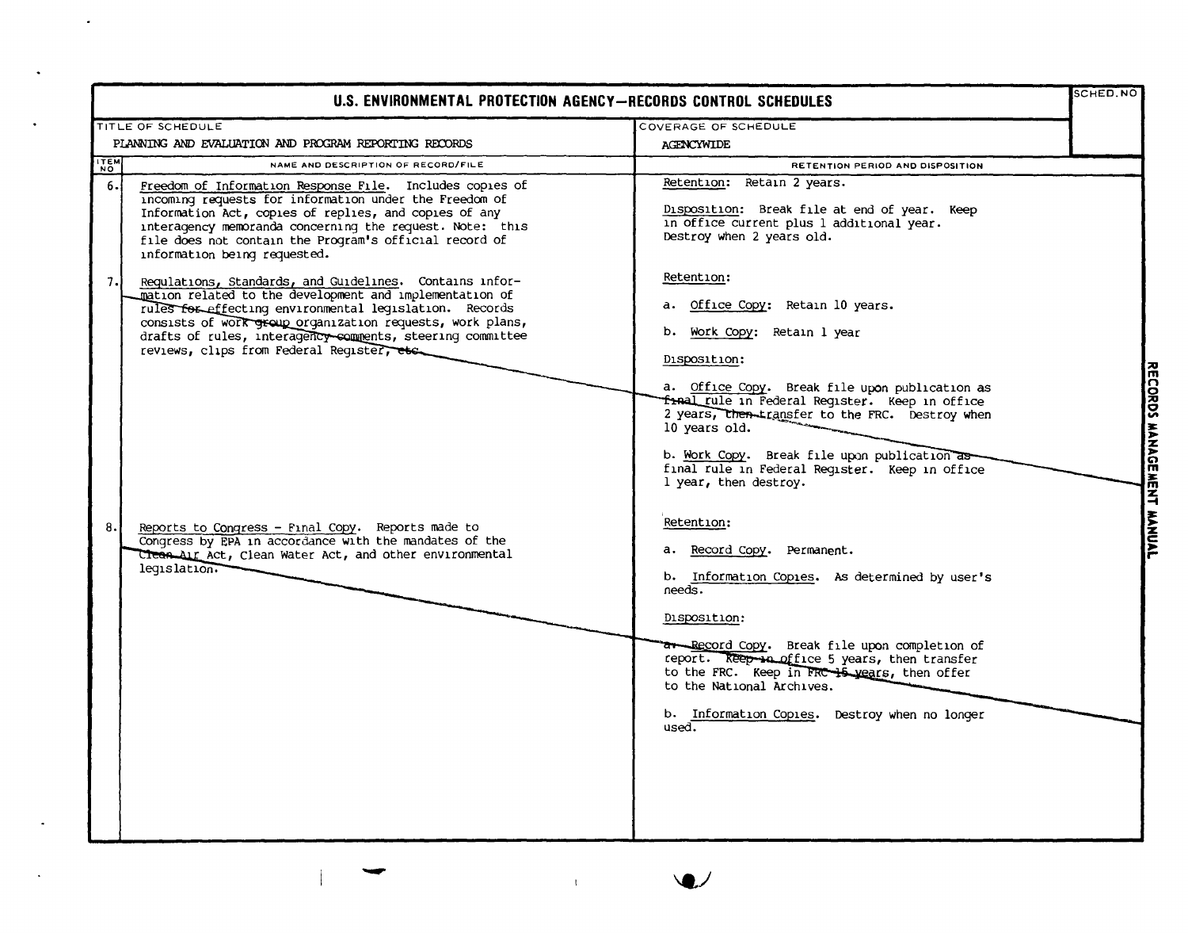| U.S. ENVIRONMENTAL PROTECTION AGENCY-RECORDS CONTROL SCHEDULES                                                                                                                                                                                                                                                                                             |                                                                                                                                                                                                                                                                                                                                                                                                 | SCHED.NO      |
|------------------------------------------------------------------------------------------------------------------------------------------------------------------------------------------------------------------------------------------------------------------------------------------------------------------------------------------------------------|-------------------------------------------------------------------------------------------------------------------------------------------------------------------------------------------------------------------------------------------------------------------------------------------------------------------------------------------------------------------------------------------------|---------------|
| TITLE OF SCHEDULE                                                                                                                                                                                                                                                                                                                                          | COVERAGE OF SCHEDULE                                                                                                                                                                                                                                                                                                                                                                            |               |
| PLANNING AND EVALUATION AND PROGRAM REPORTING RECORDS                                                                                                                                                                                                                                                                                                      | <b>AGENCYWIDE</b>                                                                                                                                                                                                                                                                                                                                                                               |               |
| <b>ITEM</b><br>NAME AND DESCRIPTION OF RECORD/FILE                                                                                                                                                                                                                                                                                                         | RETENTION PERIOD AND DISPOSITION                                                                                                                                                                                                                                                                                                                                                                |               |
| 6.1<br>Freedom of Information Response File. Includes copies of<br>incoming requests for information under the Freedom of<br>Information Act, copies of replies, and copies of any<br>interagency memoranda concerning the request. Note: this<br>file does not contain the Program's official record of<br>information being requested.                   | Retention: Retain 2 years.<br>Disposition: Break file at end of year. Keep<br>in office current plus 1 additional year.<br>Destroy when 2 years old.                                                                                                                                                                                                                                            |               |
| 7.<br>Requlations, Standards, and Guidelines. Contains infor-<br>mation related to the development and implementation of<br>rules for effecting environmental legislation. Records<br>consists of work group organization requests, work plans,<br>drafts of rules, interagency comments, steering committee<br>reviews, clips from Federal Reqister, etc. | Retention:<br>a. Office Copy: Retain 10 years.<br>b. Work Copy: Retain 1 year<br>Disposition:<br>a. Office Copy. Break file upon publication as<br>fral rule in Federal Register. Keep in office<br>2 years, then transfer to the FRC. Destroy when<br>10 years old.<br>b. Work Copy. Break file upon publication as<br>final rule in Federal Reqister. Keep in office<br>l year, then destroy. | <b>MANAGE</b> |
| 8.<br>Reports to Congress - Final Copy. Reports made to<br>Congress by EPA in accordance with the mandates of the<br>Clean Air Act, Clean Water Act, and other environmental<br>legislation.                                                                                                                                                               | Retention:<br>a. Record Copy. Permanent.<br>b. Information Copies. As determined by user's<br>needs.<br>Disposition:<br>ar Record Copy. Break file upon completion of<br>report. Reep sa office 5 years, then transfer<br>to the FRC. Keep in FRC 15 years, then offer<br>to the National Archives.<br>b. Information Copies. Destroy when no longer<br>used.                                   |               |

 $\mathbf{Q}$ 

 $\mathcal{X}^{\pm}$ 

 $\langle \cdot \rangle$ 

 $\bullet$ 

 $\bullet$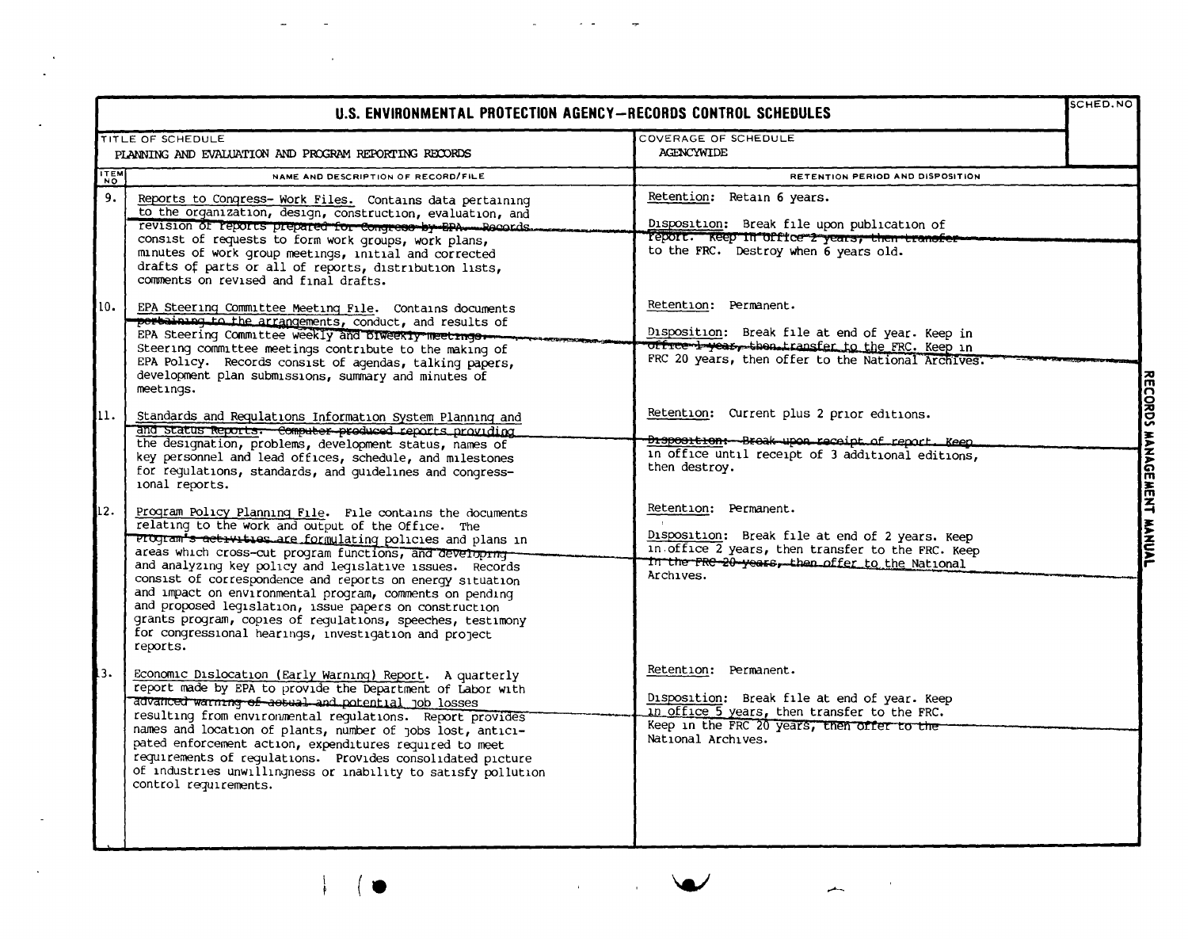| U.S. ENVIRONMENTAL PROTECTION AGENCY—RECORDS CONTROL SCHEDULES |                                                                                                                                                                                                                                                                                                                                                                                                                                                                                                                                                                                                                                        |                                                                                                                                                                                                         | SCHED.NO                  |
|----------------------------------------------------------------|----------------------------------------------------------------------------------------------------------------------------------------------------------------------------------------------------------------------------------------------------------------------------------------------------------------------------------------------------------------------------------------------------------------------------------------------------------------------------------------------------------------------------------------------------------------------------------------------------------------------------------------|---------------------------------------------------------------------------------------------------------------------------------------------------------------------------------------------------------|---------------------------|
|                                                                | TITLE OF SCHEDULE                                                                                                                                                                                                                                                                                                                                                                                                                                                                                                                                                                                                                      | COVERAGE OF SCHEDULE                                                                                                                                                                                    |                           |
|                                                                | PLANNING AND EVALUATION AND PROGRAM REPORTING RECORDS                                                                                                                                                                                                                                                                                                                                                                                                                                                                                                                                                                                  | <b>AGENCYWIDE</b>                                                                                                                                                                                       |                           |
| <b>TEM</b>                                                     | NAME AND DESCRIPTION OF RECORD/FILE                                                                                                                                                                                                                                                                                                                                                                                                                                                                                                                                                                                                    | RETENTION PERIOD AND DISPOSITION                                                                                                                                                                        |                           |
| 9.                                                             | Reports to Congress-Work Files. Contains data pertaining<br>to the organization, design, construction, evaluation, and<br>revision of reports prepared for Congress by BPA - Records.<br>consist of requests to form work groups, work plans,<br>minutes of work group meetings, initial and corrected<br>drafts of parts or all of reports, distribution lists,<br>comments on revised and final drafts.                                                                                                                                                                                                                              | Retention: Retain 6 years.<br>Disposition: Break file upon publication of<br>report. Reep in office 2 years, then transfer<br>to the FRC. Destroy when 6 years old.                                     |                           |
| 10.                                                            | EPA Steering Committee Meeting File. Contains documents<br>pertaining to the arrangements, conduct, and results of<br>EPA Steering Committee weekly and Diweekly meetinger-<br>Steering committee meetings contribute to the making of<br>EPA Policy. Records consist of agendas, talking papers,<br>development plan submissions, summary and minutes of                                                                                                                                                                                                                                                                              | Retention: Permanent.<br>Disposition: Break file at end of year. Keep in<br><del>office 1 year, then transfer to the</del> FRC. Keep in<br>FRC 20 years, then offer to the National Archives.           |                           |
| 11.                                                            | meetings.<br>Standards and Requlations Information System Planning and<br>and status Reports. Computer produced reports providing<br>the designation, problems, development status, names of<br>key personnel and lead offices, schedule, and milestones<br>for regulations, standards, and quidelines and congress-<br>ional reports.                                                                                                                                                                                                                                                                                                 | Retention: Current plus 2 prior editions.<br><del>Disposition: Broak upon receipt of report. Keep</del><br>in office until receipt of 3 additional editions,<br>then destroy.                           | RECORDS MANAGEMENT MANUAL |
| 12.                                                            | Program Policy Planning File. File contains the documents<br>relating to the work and output of the Office. The<br>Progr <del>am"s activities are formulating</del> policies and plans in<br>areas which cross-cut program functions, and developme-<br>and analyzing key policy and legislative issues. Records<br>consist of correspondence and reports on energy situation<br>and impact on environmental program, comments on pending<br>and proposed legislation, issue papers on construction<br>grants program, copies of requiations, speeches, testimony<br>for congressional hearings, investigation and project<br>reports. | Retention: Permanent.<br>$\sim$<br>Disposition: Break file at end of 2 years. Keep<br>in office 2 years, then transfer to the FRC. Keep<br>In the FRC-20-years, then offer to the National<br>Archives. |                           |
| $\overline{3}$ .                                               | Economic Dislocation (Early Warning) Report. A quarterly<br>report made by EPA to provide the Department of Labor with<br>advanced warning of assual and potential job losses<br>resulting from environmental requlations. Report provides<br>names and location of plants, number of jobs lost, antici-<br>pated enforcement action, expenditures required to meet<br>requirements of requlations. Provides consolidated picture<br>of industries unwillingness or inability to satisfy pollution<br>control requirements.                                                                                                            | Retention: Permanent.<br>Disposition: Break file at end of year. Keep<br>in office 5 years, then transfer to the FRC.<br>Keep in the FRC 20 years, then offer to the<br>National Archives.              |                           |

 $\mathcal{A}^{\pm}$ 

 $\hat{\mathbf{r}}$ 

 $\bar{z}$ 

J.

 $\omega$ 

 $\sim$   $\sim$ 

 $\rightarrow$ 

 $\omega$ 

 $\ddot{\phantom{a}}$ 

ä,

 $\blacksquare$ 

 $\bar{\phantom{a}}$ 

 $\mathcal{A}^{\mathcal{A}}$ 

 $\frac{1}{\beta}$ 

 $($   $\bullet$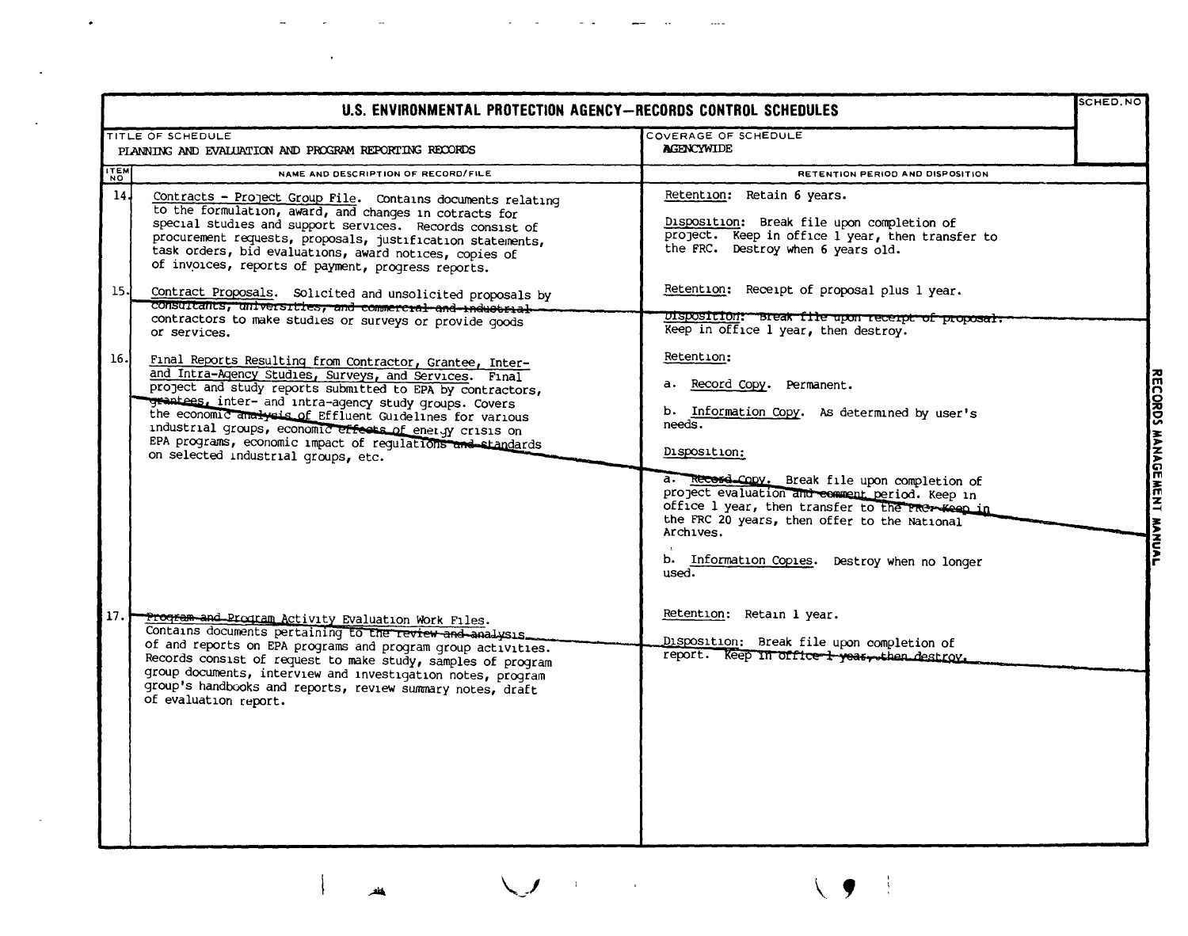| U.S. ENVIRONMENTAL PROTECTION AGENCY-RECORDS CONTROL SCHEDULES |                                                                                                                                                                                                                                                                                                                                                                                                                                                                        |                                                                                                                                                                                                                                                                                                                                                                                                       | SCHED.NO                  |
|----------------------------------------------------------------|------------------------------------------------------------------------------------------------------------------------------------------------------------------------------------------------------------------------------------------------------------------------------------------------------------------------------------------------------------------------------------------------------------------------------------------------------------------------|-------------------------------------------------------------------------------------------------------------------------------------------------------------------------------------------------------------------------------------------------------------------------------------------------------------------------------------------------------------------------------------------------------|---------------------------|
|                                                                | TITLE OF SCHEDULE<br>PLANNING AND EVALUATION AND PROGRAM REPORTING RECORDS                                                                                                                                                                                                                                                                                                                                                                                             | COVERAGE OF SCHEDULE<br><b>AGENCYWIDE</b>                                                                                                                                                                                                                                                                                                                                                             |                           |
| $\frac{1}{N}$                                                  | NAME AND DESCRIPTION OF RECORD/FILE                                                                                                                                                                                                                                                                                                                                                                                                                                    | RETENTION PERIOD AND DISPOSITION                                                                                                                                                                                                                                                                                                                                                                      |                           |
| 14J                                                            | Contracts - Project Group File. Contains documents relating<br>to the formulation, award, and changes in cotracts for<br>special studies and support services. Records consist of<br>procurement requests, proposals, justification statements,<br>task orders, bid evaluations, award notices, copies of<br>of invoices, reports of payment, progress reports.                                                                                                        | Retention: Retain 6 years.<br>Disposition: Break file upon completion of<br>project. Keep in office l year, then transfer to<br>the FRC. Destroy when 6 years old.                                                                                                                                                                                                                                    |                           |
| 15.                                                            | Contract Proposals. Solicited and unsolicited proposals by<br>consultants, universities, and commercial and industrial<br>contractors to make studies or surveys or provide goods<br>or services.                                                                                                                                                                                                                                                                      | Retention: Receipt of proposal plus 1 year.<br>Disposition: Break file upon recerpt of proposal.<br>Keep in office 1 year, then destroy.                                                                                                                                                                                                                                                              |                           |
| 16.                                                            | Final Reports Resulting from Contractor, Grantee, Inter-<br>and Intra-Agency Studies, Surveys, and Services. Final<br>project and study reports submitted to EPA by contractors,<br>grantees, inter- and intra-agency study groups. Covers<br>the economic analysis of Effluent Guidelines for various<br>industrial groups, economic effects of energy crisis on<br>EPA programs, economic impact of regulations and standards<br>on selected industrial groups, etc. | Retention:<br>a. Record Copy. Permanent.<br>b. Information Copy. As determined by user's<br>$need$ s.<br>Disposition:                                                                                                                                                                                                                                                                                 | RECORDS MANAGEMENT MANUAL |
| 17.                                                            | Program and Program Activity Evaluation Work Files.<br>Contains documents pertaining to the review and analysis.<br>of and reports on EPA programs and program group activities.<br>Records consist of request to make study, samples of program<br>group documents, interview and investigation notes, program<br>group's handbooks and reports, review summary notes, draft<br>of evaluation report.                                                                 | a. Record Cooy. Break file upon completion of<br>project evaluation and comment period. Keep in<br>office 1 year, then transfer to the PROT-Keep in<br>the FRC 20 years, then offer to the National<br>Archives.<br>b. Information Copies. Destroy when no longer<br>used.<br>Retention: Retain 1 year.<br>Disposition: Break file upon completion of<br>report. Keep in office i year, then destroy. |                           |

 $\omega_{\rm{max}}$ 

 $\mathcal{A}(\mathcal{A})$  , and  $\mathcal{A}(\mathcal{A})$ 

 $\sim$  100  $\pm$ 

 $\begin{array}{ccc} \text{---} & \text{---} \end{array}$ 

 $\frac{1}{\sqrt{2}}$ 

 $\left\vert \right\vert$ 

 $\langle \sigma_{\rm{eff}} \rangle$ 

 $\sim$ 

 $\bar{\omega}$ 

 $\sim$ 

 $\blacksquare$ 

 $\mathcal{L}(\mathcal{L}(\mathcal{L}))$  and  $\mathcal{L}(\mathcal{L}(\mathcal{L}))$  and  $\mathcal{L}(\mathcal{L}(\mathcal{L}))$ 

 $\mathcal{L}^{\text{max}}_{\text{max}}$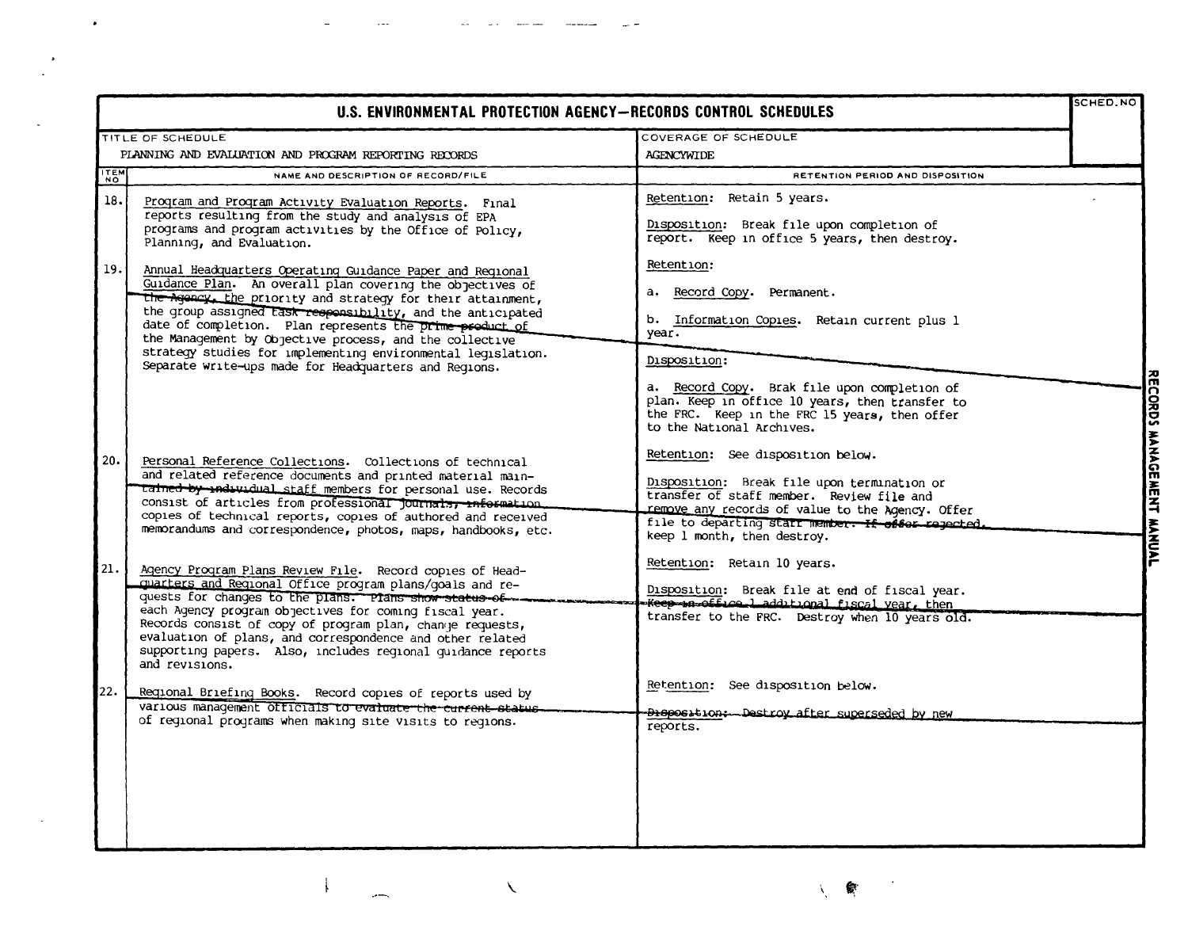| TITLE OF SCHEDULE<br>COVERAGE OF SCHEDULE<br>PLANNING AND EVALUATION AND PROGRAM REPORTING RECORDS<br><b>AGENCYWIDE</b><br>TTEM<br>NAME AND DESCRIPTION OF RECORD/FILE<br>RETENTION PERIOD AND DISPOSITION<br>Retention: Retain 5 years.<br>18.<br>Program and Program Activity Evaluation Reports. Final<br>reports resulting from the study and analysis of EPA<br>Disposition: Break file upon completion of<br>programs and program activities by the Office of Policy,<br>report. Keep in office 5 years, then destroy.<br>Planning, and Evaluation.<br>Retention:<br>19.1<br>Annual Headquarters Operating Guidance Paper and Regional<br>Guidance Plan. An overall plan covering the objectives of<br>a. Record Copy. Permanent.<br>the Agency, the priority and strategy for their attainment,<br>the group assigned task responsibility, and the anticipated<br>b. Information Copies. Retain current plus 1<br>date of completion. Plan represents the prime product of<br>year.<br>the Management by Objective process, and the collective<br>strategy studies for implementing environmental legislation.<br>Disposition:<br>Separate write-ups made for Headquarters and Reqions.<br>a. Record Copy. Brak file upon completion of<br>plan. Keep in office 10 years, then transfer to<br>the FRC. Keep in the FRC 15 years, then offer<br>to the National Archives.<br>Retention: See disposition below.<br>Personal Reference Collections. Collections of technical<br>and related reference documents and printed material main-<br>Disposition: Break file upon termination or<br>tained by individual staff members for personal use. Records<br>transfer of staff member. Review file and<br>consist of articles from professional journalsy information<br>remove any records of value to the Agency. Offer<br>copies of technical reports, copies of authored and received<br>file to departing staff member. If offer reported.<br>memorandums and correspondence, photos, maps, handbooks, etc.<br>keep 1 month, then destroy.<br>Retention: Retain 10 years.<br>Agency Program Plans Review File. Record copies of Head-<br>quarters and Reqional Office program plans/goals and re-<br>Disposition: Break file at end of fiscal year.<br>quests for changes to the plans. Plans show status of.<br>Keep nottice ladditional fiscal year, then<br>each Agency program objectives for coming fiscal year.<br>transfer to the FRC. Destroy when 10 years old.<br>Records consist of copy of program plan, change requests,<br>evaluation of plans, and correspondence and other related<br>supporting papers. Also, includes regional quidance reports | <b>SCHED.NO</b> |
|----------------------------------------------------------------------------------------------------------------------------------------------------------------------------------------------------------------------------------------------------------------------------------------------------------------------------------------------------------------------------------------------------------------------------------------------------------------------------------------------------------------------------------------------------------------------------------------------------------------------------------------------------------------------------------------------------------------------------------------------------------------------------------------------------------------------------------------------------------------------------------------------------------------------------------------------------------------------------------------------------------------------------------------------------------------------------------------------------------------------------------------------------------------------------------------------------------------------------------------------------------------------------------------------------------------------------------------------------------------------------------------------------------------------------------------------------------------------------------------------------------------------------------------------------------------------------------------------------------------------------------------------------------------------------------------------------------------------------------------------------------------------------------------------------------------------------------------------------------------------------------------------------------------------------------------------------------------------------------------------------------------------------------------------------------------------------------------------------------------------------------------------------------------------------------------------------------------------------------------------------------------------------------------------------------------------------------------------------------------------------------------------------------------------------------------------------------------------------------------------------------------------------------------------------------------------------------------------------------------------------------------------------------------------------|-----------------|
|                                                                                                                                                                                                                                                                                                                                                                                                                                                                                                                                                                                                                                                                                                                                                                                                                                                                                                                                                                                                                                                                                                                                                                                                                                                                                                                                                                                                                                                                                                                                                                                                                                                                                                                                                                                                                                                                                                                                                                                                                                                                                                                                                                                                                                                                                                                                                                                                                                                                                                                                                                                                                                                                            |                 |
|                                                                                                                                                                                                                                                                                                                                                                                                                                                                                                                                                                                                                                                                                                                                                                                                                                                                                                                                                                                                                                                                                                                                                                                                                                                                                                                                                                                                                                                                                                                                                                                                                                                                                                                                                                                                                                                                                                                                                                                                                                                                                                                                                                                                                                                                                                                                                                                                                                                                                                                                                                                                                                                                            |                 |
|                                                                                                                                                                                                                                                                                                                                                                                                                                                                                                                                                                                                                                                                                                                                                                                                                                                                                                                                                                                                                                                                                                                                                                                                                                                                                                                                                                                                                                                                                                                                                                                                                                                                                                                                                                                                                                                                                                                                                                                                                                                                                                                                                                                                                                                                                                                                                                                                                                                                                                                                                                                                                                                                            |                 |
|                                                                                                                                                                                                                                                                                                                                                                                                                                                                                                                                                                                                                                                                                                                                                                                                                                                                                                                                                                                                                                                                                                                                                                                                                                                                                                                                                                                                                                                                                                                                                                                                                                                                                                                                                                                                                                                                                                                                                                                                                                                                                                                                                                                                                                                                                                                                                                                                                                                                                                                                                                                                                                                                            |                 |
|                                                                                                                                                                                                                                                                                                                                                                                                                                                                                                                                                                                                                                                                                                                                                                                                                                                                                                                                                                                                                                                                                                                                                                                                                                                                                                                                                                                                                                                                                                                                                                                                                                                                                                                                                                                                                                                                                                                                                                                                                                                                                                                                                                                                                                                                                                                                                                                                                                                                                                                                                                                                                                                                            |                 |
| 20.<br>21.1                                                                                                                                                                                                                                                                                                                                                                                                                                                                                                                                                                                                                                                                                                                                                                                                                                                                                                                                                                                                                                                                                                                                                                                                                                                                                                                                                                                                                                                                                                                                                                                                                                                                                                                                                                                                                                                                                                                                                                                                                                                                                                                                                                                                                                                                                                                                                                                                                                                                                                                                                                                                                                                                |                 |
|                                                                                                                                                                                                                                                                                                                                                                                                                                                                                                                                                                                                                                                                                                                                                                                                                                                                                                                                                                                                                                                                                                                                                                                                                                                                                                                                                                                                                                                                                                                                                                                                                                                                                                                                                                                                                                                                                                                                                                                                                                                                                                                                                                                                                                                                                                                                                                                                                                                                                                                                                                                                                                                                            |                 |
|                                                                                                                                                                                                                                                                                                                                                                                                                                                                                                                                                                                                                                                                                                                                                                                                                                                                                                                                                                                                                                                                                                                                                                                                                                                                                                                                                                                                                                                                                                                                                                                                                                                                                                                                                                                                                                                                                                                                                                                                                                                                                                                                                                                                                                                                                                                                                                                                                                                                                                                                                                                                                                                                            |                 |
| and revisions.<br>Retention: See disposition below.                                                                                                                                                                                                                                                                                                                                                                                                                                                                                                                                                                                                                                                                                                                                                                                                                                                                                                                                                                                                                                                                                                                                                                                                                                                                                                                                                                                                                                                                                                                                                                                                                                                                                                                                                                                                                                                                                                                                                                                                                                                                                                                                                                                                                                                                                                                                                                                                                                                                                                                                                                                                                        |                 |
| 22.<br>Regional Briefing Books. Record copies of reports used by<br>various management officials to evaluate the current status.<br>Disposition: Destroy after superseded by new<br>of regional programs when making site visits to regions.<br>reports.                                                                                                                                                                                                                                                                                                                                                                                                                                                                                                                                                                                                                                                                                                                                                                                                                                                                                                                                                                                                                                                                                                                                                                                                                                                                                                                                                                                                                                                                                                                                                                                                                                                                                                                                                                                                                                                                                                                                                                                                                                                                                                                                                                                                                                                                                                                                                                                                                   |                 |

 $\bullet$ 

 $\mathbb{Z}^2$ 

 $\frac{1}{\sqrt{2}}$ 

 $\overline{\phantom{a}}$ 

 $\mathcal{E}_{\mathcal{A}}$ 

أيتسر

 $\sim$   $\sim$   $\sim$ 

 $\omega_{\rm{eff}} = \omega_{\rm{eff}} = \omega_{\rm{eff}}$  and

 $\mathcal{N}$ 

食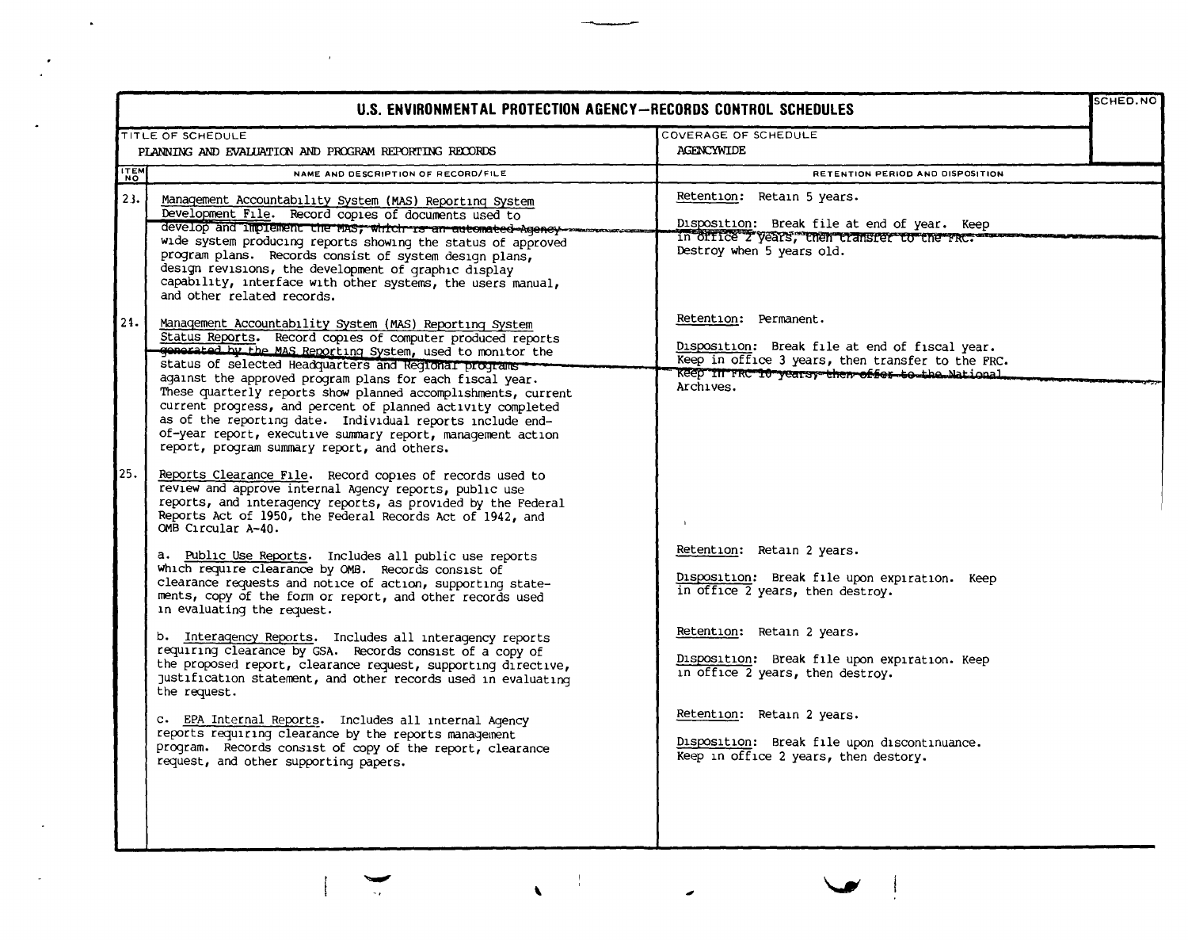| U.S. ENVIRONMENTAL PROTECTION AGENCY-RECORDS CONTROL SCHEDULES |                                                                                                                                                                                                                                                                                                                                                                                                                                                                                                                                                                                                                                                                                                                                                                                                                                                                                                                                                                                                                                                  |                                                                                                                                                                                                                                                                                                                                                           |  |  |
|----------------------------------------------------------------|--------------------------------------------------------------------------------------------------------------------------------------------------------------------------------------------------------------------------------------------------------------------------------------------------------------------------------------------------------------------------------------------------------------------------------------------------------------------------------------------------------------------------------------------------------------------------------------------------------------------------------------------------------------------------------------------------------------------------------------------------------------------------------------------------------------------------------------------------------------------------------------------------------------------------------------------------------------------------------------------------------------------------------------------------|-----------------------------------------------------------------------------------------------------------------------------------------------------------------------------------------------------------------------------------------------------------------------------------------------------------------------------------------------------------|--|--|
|                                                                | TITLE OF SCHEDULE                                                                                                                                                                                                                                                                                                                                                                                                                                                                                                                                                                                                                                                                                                                                                                                                                                                                                                                                                                                                                                | COVERAGE OF SCHEDULE                                                                                                                                                                                                                                                                                                                                      |  |  |
|                                                                | PLANNING AND EVALUATION AND PROGRAM REPORTING RECORDS                                                                                                                                                                                                                                                                                                                                                                                                                                                                                                                                                                                                                                                                                                                                                                                                                                                                                                                                                                                            | AGENCYWIDE                                                                                                                                                                                                                                                                                                                                                |  |  |
| <b>TTEM</b>                                                    | NAME AND DESCRIPTION OF RECORD/FILE                                                                                                                                                                                                                                                                                                                                                                                                                                                                                                                                                                                                                                                                                                                                                                                                                                                                                                                                                                                                              | RETENTION PERIOD AND DISPOSITION                                                                                                                                                                                                                                                                                                                          |  |  |
| 23.                                                            | Management Accountability System (MAS) Reporting System<br>Development File. Record copies of documents used to<br>develop and implement the mas, which is an automated Agency<br>wide system producing reports showing the status of approved<br>program plans. Records consist of system design plans,<br>design revisions, the development of graphic display<br>capability, interface with other systems, the users manual,<br>and other related records.                                                                                                                                                                                                                                                                                                                                                                                                                                                                                                                                                                                    | Retention: Retain 5 years.<br>Disposition: Break file at end of year. Keep<br>in office 2 years, then transfer to the FRC.<br>Destroy when 5 years old.                                                                                                                                                                                                   |  |  |
| 21.                                                            | Management Accountability System (MAS) Reporting System<br>Status Reports. Record copies of computer produced reports<br>generated by the MAS Reporting System, used to monitor the<br>status of selected Headquarters and Regional programs<br>against the approved program plans for each fiscal year.<br>These quarterly reports show planned accomplishments, current<br>current progress, and percent of planned activity completed<br>as of the reporting date. Individual reports include end-<br>of-year report, executive summary report, management action<br>report, program summary report, and others.                                                                                                                                                                                                                                                                                                                                                                                                                              | Retention: Permanent.<br>Disposition: Break file at end of fiscal year.<br>Keep in office 3 years, then transfer to the FRC.<br>Keep In FRC 10 yearsy then offer to the National<br>Archives.                                                                                                                                                             |  |  |
| 25.                                                            | Reports Clearance File. Record copies of records used to<br>review and approve internal Agency reports, public use<br>reports, and interagency reports, as provided by the Federal<br>Reports Act of 1950, the Federal Records Act of 1942, and<br>OMB Circular A-40.<br>a. Public Use Reports. Includes all public use reports<br>which require clearance by OMB. Records consist of<br>clearance requests and notice of action, supporting state-<br>ments, copy of the form or report, and other records used<br>in evaluating the request.<br>b. Interagency Reports. Includes all interagency reports<br>requiring clearance by GSA. Records consist of a copy of<br>the proposed report, clearance request, supporting directive,<br>justification statement, and other records used in evaluating<br>the request.<br>c. EPA Internal Reports. Includes all internal Agency<br>reports requiring clearance by the reports management<br>program. Records consist of copy of the report, clearance<br>request, and other supporting papers. | Retention: Retain 2 years.<br>Disposition: Break file upon expiration. Keep<br>in office 2 years, then destroy.<br>Retention: Retain 2 years.<br>Disposition: Break file upon expiration. Keep<br>in office 2 years, then destroy.<br>Retention: Retain 2 years.<br>Disposition: Break file upon discontinuance.<br>Keep in office 2 years, then destory. |  |  |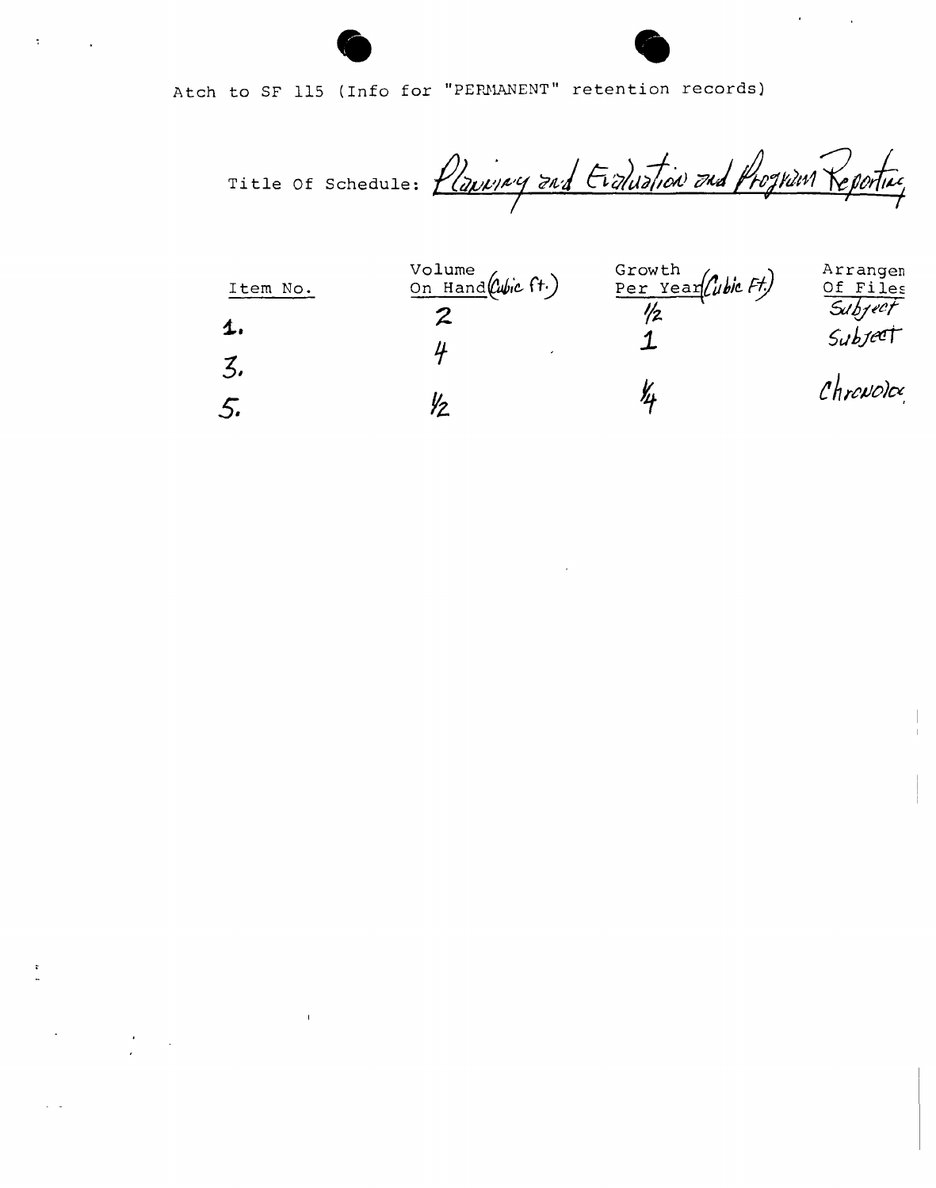Atch to SF 115 (Info for "PERMANENT" retention records)

 $\overline{\mathbf{z}}$ 

 $\epsilon_{\rm{max}}$ 

Title Of Schedule: Planning and Evaluation and Prognan Reporting

| Item No.     | Volume<br>On Hand (Cubic ft.) | Growth<br>Per Year (ubic Ft) | Arrangem<br>Of Files |
|--------------|-------------------------------|------------------------------|----------------------|
| $\mathbf{L}$ |                               |                              | Subject<br>Subject   |
|              |                               |                              |                      |
| 5.           |                               |                              | Chrevoloc            |